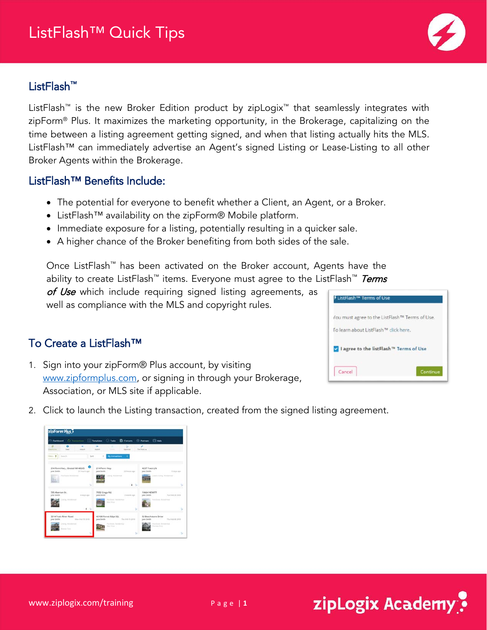## ListFlash™ Quick Tips

## ListFlash™

ListFlash™ is the new Broker Edition product by zipLogix™ that seamlessly integrates with zipForm® Plus. It maximizes the marketing opportunity, in the Brokerage, capitalizing on the time between a listing agreement getting signed, and when that listing actually hits the MLS. ListFlash™ can immediately advertise an Agent's signed Listing or Lease-Listing to all other Broker Agents within the Brokerage.

## ListFlash™ Benefits Include:

- The potential for everyone to benefit whether a Client, an Agent, or a Broker.
- ListFlash™ availability on the zipForm® Mobile platform.
- Immediate exposure for a listing, potentially resulting in a quicker sale.
- A higher chance of the Broker benefiting from both sides of the sale.

Once ListFlash™ has been activated on the Broker account, Agents have the ability to create ListFlash<sup>™</sup> items. Everyone must agree to the ListFlash<sup>™</sup> Terms

of Use which include requiring signed listing agreements, as well as compliance with the MLS and copyright rules.

## To Create a ListFlash™

1. Sign into your zipForm® Plus account, by visiting [www.zipformplus.com,](http://www.zipformplus.com/) or signing in through your Brokerage, Association, or MLS site if applicable.

**SINTER** 

ė.

2. Click to launch the Listing transaction, created from the signed listing agreement.

ê,

śО.



zipLogix Academy?

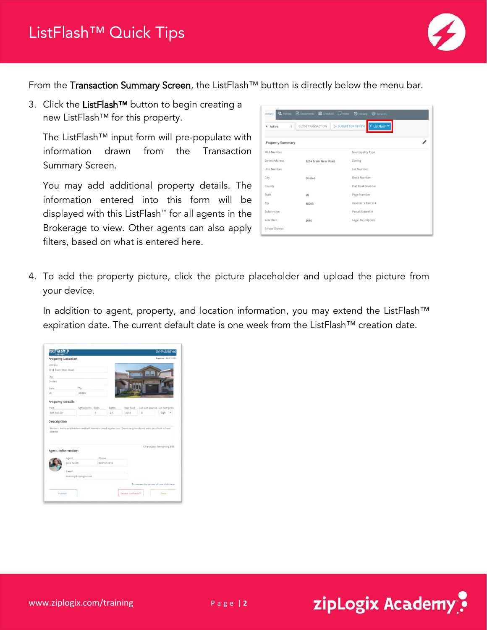

From the Transaction Summary Screen, the ListFlash™ button is directly below the menu bar.

3. Click the ListFlash™ button to begin creating a new ListFlash™ for this property.

The ListFlash™ input form will pre-populate with information drawn from the Transaction Summary Screen.

You may add additional property details. The information entered into this form will be displayed with this ListFlash™ for all agents in the Brokerage to view. Other agents can also apply filters, based on what is entered here.

| mmary                             | <b>垫</b> Parties <b>a</b> Documents <b>它</b> Checklist D Notes D History | Services                          |  |
|-----------------------------------|--------------------------------------------------------------------------|-----------------------------------|--|
| $\hat{\mathbf{u}}$<br>Active<br>× | CLOSE TRANSACTION                                                        | ≸ ListFlash™<br>SUBMIT FOR REVIEW |  |
| <b>Property Summary</b>           |                                                                          |                                   |  |
| <b>MLS Number</b>                 |                                                                          | Municipality Type                 |  |
| <b>Street Address</b>             | 3214 Train River Road                                                    | Zoning                            |  |
| Unit Number                       |                                                                          | Lot Number                        |  |
| City                              | Onsted                                                                   | Block Number                      |  |
| County                            |                                                                          | Plat Rook Number                  |  |
| State                             | MI                                                                       | Page Number                       |  |
| Z/p                               | 48265                                                                    | Assessors Parcel #                |  |
| Subdivision                       |                                                                          | Parcel/Sidwell #                  |  |
| Year Built                        | 2010                                                                     | Legal Description                 |  |
| <b>School District</b>            |                                                                          |                                   |  |

4. To add the property picture, click the picture placeholder and upload the picture from your device.

In addition to agent, property, and location information, you may extend the ListFlash™ expiration date. The current default date is one week from the ListFlash™ creation date.

|                       | istFlash e               |                    |       |                   |                                                                                                        |                                        | <b>Un-Published</b><br><b>Fepires: 56/11/301</b> |  |
|-----------------------|--------------------------|--------------------|-------|-------------------|--------------------------------------------------------------------------------------------------------|----------------------------------------|--------------------------------------------------|--|
|                       | <b>Property Location</b> |                    |       |                   |                                                                                                        |                                        |                                                  |  |
| ididress.             |                          |                    |       |                   |                                                                                                        |                                        |                                                  |  |
| 1214 Train River Road |                          |                    |       |                   |                                                                                                        |                                        |                                                  |  |
| tey.                  |                          |                    |       |                   | m                                                                                                      | - -<br>m                               |                                                  |  |
| Instead               |                          |                    |       |                   |                                                                                                        |                                        |                                                  |  |
| lease                 |                          | Zα                 |       |                   |                                                                                                        |                                        |                                                  |  |
| in.                   |                          | 48365              |       |                   |                                                                                                        |                                        |                                                  |  |
| Property Details      |                          |                    |       |                   |                                                                                                        |                                        |                                                  |  |
| <b>Interest</b>       |                          | Sigft approx Beds. |       | <b>Baths</b>      | Year Buch                                                                                              | Lot size approx. Lot size units        |                                                  |  |
| 383,500.00            |                          |                    | š     | 2.5               | 2010                                                                                                   | $\circ$                                | 5qft                                             |  |
|                       |                          |                    |       |                   | Modern baths and kitchen with all stainless steel appliances. Quiet neighborhood with excellent school |                                        |                                                  |  |
| district.             |                          |                    |       |                   |                                                                                                        |                                        |                                                  |  |
|                       | <b>Agent Information</b> |                    |       |                   |                                                                                                        | Characters Remaining 898               |                                                  |  |
|                       |                          |                    |       |                   |                                                                                                        |                                        |                                                  |  |
| <b>Description</b>    | Azent<br>Jane Smith      |                    | Phone | <b>BRANSS1234</b> |                                                                                                        |                                        |                                                  |  |
|                       | Emiel                    |                    |       |                   |                                                                                                        |                                        |                                                  |  |
|                       | training@ziplogix.com    |                    |       |                   |                                                                                                        |                                        |                                                  |  |
|                       |                          |                    |       |                   |                                                                                                        | To review the terms of use click here. |                                                  |  |

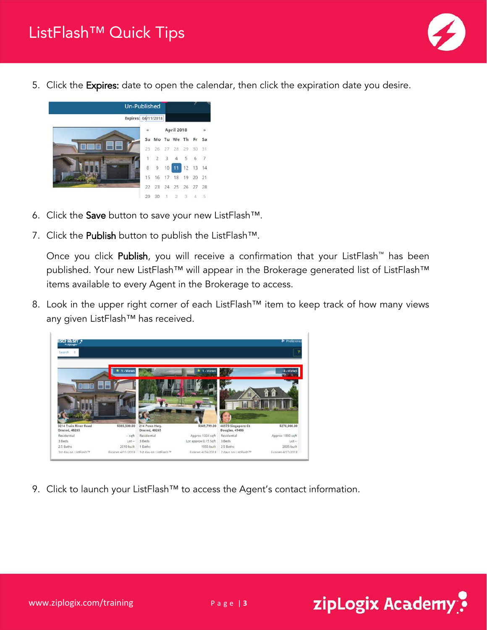

5. Click the Expires: date to open the calendar, then click the expiration date you desire.



- 6. Click the Save button to save your new ListFlash™.
- 7. Click the Publish button to publish the ListFlash™.

Once you click Publish, you will receive a confirmation that your ListFlash™ has been published. Your new ListFlash™ will appear in the Brokerage generated list of ListFlash™ items available to every Agent in the Brokerage to access.

8. Look in the upper right corner of each ListFlash™ item to keep track of how many views any given ListFlash™ has received.



9. Click to launch your ListFlash™ to access the Agent's contact information.